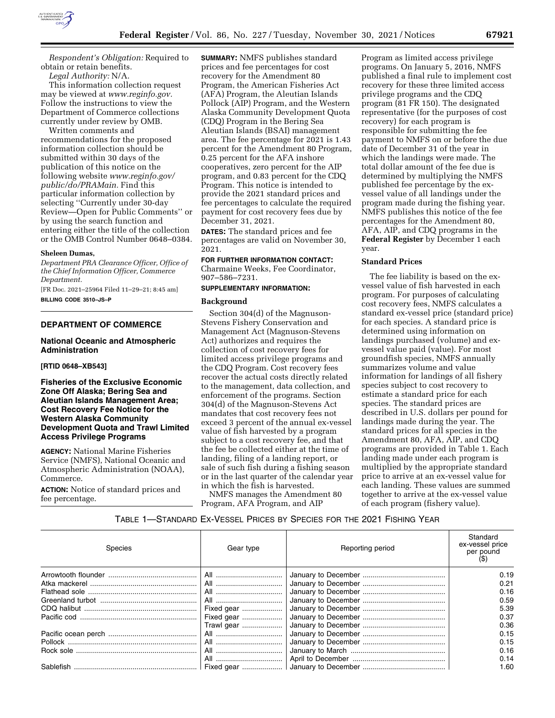

*Respondent's Obligation:* Required to obtain or retain benefits.

*Legal Authority:* N/A.

This information collection request may be viewed at *[www.reginfo.gov.](http://www.reginfo.gov)*  Follow the instructions to view the Department of Commerce collections currently under review by OMB.

Written comments and recommendations for the proposed information collection should be submitted within 30 days of the publication of this notice on the following website *[www.reginfo.gov/](http://www.reginfo.gov/public/do/PRAMain)  [public/do/PRAMain.](http://www.reginfo.gov/public/do/PRAMain)* Find this particular information collection by selecting ''Currently under 30-day Review—Open for Public Comments'' or by using the search function and entering either the title of the collection or the OMB Control Number 0648–0384.

# **Sheleen Dumas,**

*Department PRA Clearance Officer, Office of the Chief Information Officer, Commerce Department.* 

[FR Doc. 2021–25964 Filed 11–29–21; 8:45 am] **BILLING CODE 3510–JS–P** 

# **DEPARTMENT OF COMMERCE**

## **National Oceanic and Atmospheric Administration**

## **[RTID 0648–XB543]**

# **Fisheries of the Exclusive Economic Zone Off Alaska; Bering Sea and Aleutian Islands Management Area; Cost Recovery Fee Notice for the Western Alaska Community Development Quota and Trawl Limited Access Privilege Programs**

**AGENCY:** National Marine Fisheries Service (NMFS), National Oceanic and Atmospheric Administration (NOAA), Commerce.

**ACTION:** Notice of standard prices and fee percentage.

**SUMMARY:** NMFS publishes standard prices and fee percentages for cost recovery for the Amendment 80 Program, the American Fisheries Act (AFA) Program, the Aleutian Islands Pollock (AIP) Program, and the Western Alaska Community Development Quota (CDQ) Program in the Bering Sea Aleutian Islands (BSAI) management area. The fee percentage for 2021 is 1.43 percent for the Amendment 80 Program, 0.25 percent for the AFA inshore cooperatives, zero percent for the AIP program, and 0.83 percent for the CDQ Program. This notice is intended to provide the 2021 standard prices and fee percentages to calculate the required payment for cost recovery fees due by December 31, 2021.

**DATES:** The standard prices and fee percentages are valid on November 30, 2021.

**FOR FURTHER INFORMATION CONTACT:**  Charmaine Weeks, Fee Coordinator, 907–586–7231.

#### **SUPPLEMENTARY INFORMATION:**

#### **Background**

Section 304(d) of the Magnuson-Stevens Fishery Conservation and Management Act (Magnuson-Stevens Act) authorizes and requires the collection of cost recovery fees for limited access privilege programs and the CDQ Program. Cost recovery fees recover the actual costs directly related to the management, data collection, and enforcement of the programs. Section 304(d) of the Magnuson-Stevens Act mandates that cost recovery fees not exceed 3 percent of the annual ex-vessel value of fish harvested by a program subject to a cost recovery fee, and that the fee be collected either at the time of landing, filing of a landing report, or sale of such fish during a fishing season or in the last quarter of the calendar year in which the fish is harvested.

NMFS manages the Amendment 80 Program, AFA Program, and AIP

Program as limited access privilege programs. On January 5, 2016, NMFS published a final rule to implement cost recovery for these three limited access privilege programs and the CDQ program (81 FR 150). The designated representative (for the purposes of cost recovery) for each program is responsible for submitting the fee payment to NMFS on or before the due date of December 31 of the year in which the landings were made. The total dollar amount of the fee due is determined by multiplying the NMFS published fee percentage by the exvessel value of all landings under the program made during the fishing year. NMFS publishes this notice of the fee percentages for the Amendment 80, AFA, AIP, and CDQ programs in the **Federal Register** by December 1 each year.

#### **Standard Prices**

The fee liability is based on the exvessel value of fish harvested in each program. For purposes of calculating cost recovery fees, NMFS calculates a standard ex-vessel price (standard price) for each species. A standard price is determined using information on landings purchased (volume) and exvessel value paid (value). For most groundfish species, NMFS annually summarizes volume and value information for landings of all fishery species subject to cost recovery to estimate a standard price for each species. The standard prices are described in U.S. dollars per pound for landings made during the year. The standard prices for all species in the Amendment 80, AFA, AIP, and CDQ programs are provided in Table 1. Each landing made under each program is multiplied by the appropriate standard price to arrive at an ex-vessel value for each landing. These values are summed together to arrive at the ex-vessel value of each program (fishery value).

# TABLE 1—STANDARD EX-VESSEL PRICES BY SPECIES FOR THE 2021 FISHING YEAR

| <b>Species</b> | Gear type  | Reporting period | Standard<br>ex-vessel price<br>per pound |
|----------------|------------|------------------|------------------------------------------|
|                | All        |                  | 0.19                                     |
|                | All        |                  | 0.21                                     |
|                | All        |                  | 0.16                                     |
|                | All        |                  | 0.59                                     |
|                | Fixed gear |                  | 5.39                                     |
|                | Fixed gear |                  | 0.37                                     |
|                | Trawl gear |                  | 0.36                                     |
|                | All        |                  | 0.15                                     |
|                | All        |                  | 0.15                                     |
|                | All        |                  | 0.16                                     |
|                | All        |                  | 0.14                                     |
|                |            |                  | 1.60                                     |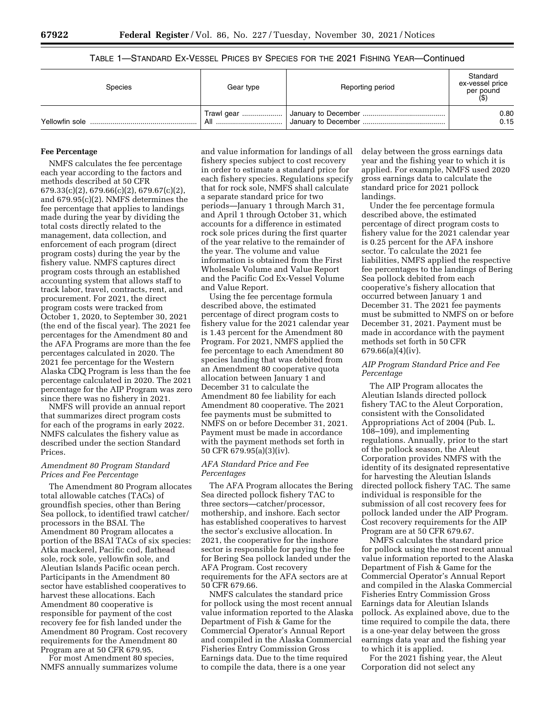# TABLE 1—STANDARD EX-VESSEL PRICES BY SPECIES FOR THE 2021 FISHING YEAR—Continued

| <b>Species</b> | Gear type | Reporting period | Standard<br>ex-vessel price<br>per pound |
|----------------|-----------|------------------|------------------------------------------|
|                | All       |                  | 0.80<br>0.15                             |

#### **Fee Percentage**

NMFS calculates the fee percentage each year according to the factors and methods described at 50 CFR 679.33(c)(2), 679.66(c)(2), 679.67(c)(2), and 679.95(c)(2). NMFS determines the fee percentage that applies to landings made during the year by dividing the total costs directly related to the management, data collection, and enforcement of each program (direct program costs) during the year by the fishery value. NMFS captures direct program costs through an established accounting system that allows staff to track labor, travel, contracts, rent, and procurement. For 2021, the direct program costs were tracked from October 1, 2020, to September 30, 2021 (the end of the fiscal year). The 2021 fee percentages for the Amendment 80 and the AFA Programs are more than the fee percentages calculated in 2020. The 2021 fee percentage for the Western Alaska CDQ Program is less than the fee percentage calculated in 2020. The 2021 percentage for the AIP Program was zero since there was no fishery in 2021.

NMFS will provide an annual report that summarizes direct program costs for each of the programs in early 2022. NMFS calculates the fishery value as described under the section Standard Prices.

## *Amendment 80 Program Standard Prices and Fee Percentage*

The Amendment 80 Program allocates total allowable catches (TACs) of groundfish species, other than Bering Sea pollock, to identified trawl catcher/ processors in the BSAI. The Amendment 80 Program allocates a portion of the BSAI TACs of six species: Atka mackerel, Pacific cod, flathead sole, rock sole, yellowfin sole, and Aleutian Islands Pacific ocean perch. Participants in the Amendment 80 sector have established cooperatives to harvest these allocations. Each Amendment 80 cooperative is responsible for payment of the cost recovery fee for fish landed under the Amendment 80 Program. Cost recovery requirements for the Amendment 80 Program are at 50 CFR 679.95.

For most Amendment 80 species, NMFS annually summarizes volume

and value information for landings of all fishery species subject to cost recovery in order to estimate a standard price for each fishery species. Regulations specify that for rock sole, NMFS shall calculate a separate standard price for two periods—January 1 through March 31, and April 1 through October 31, which accounts for a difference in estimated rock sole prices during the first quarter of the year relative to the remainder of the year. The volume and value information is obtained from the First Wholesale Volume and Value Report and the Pacific Cod Ex-Vessel Volume and Value Report.

Using the fee percentage formula described above, the estimated percentage of direct program costs to fishery value for the 2021 calendar year is 1.43 percent for the Amendment 80 Program. For 2021, NMFS applied the fee percentage to each Amendment 80 species landing that was debited from an Amendment 80 cooperative quota allocation between January 1 and December 31 to calculate the Amendment 80 fee liability for each Amendment 80 cooperative. The 2021 fee payments must be submitted to NMFS on or before December 31, 2021. Payment must be made in accordance with the payment methods set forth in 50 CFR 679.95(a)(3)(iv).

## *AFA Standard Price and Fee Percentages*

The AFA Program allocates the Bering Sea directed pollock fishery TAC to three sectors—catcher/processor, mothership, and inshore. Each sector has established cooperatives to harvest the sector's exclusive allocation. In 2021, the cooperative for the inshore sector is responsible for paying the fee for Bering Sea pollock landed under the AFA Program. Cost recovery requirements for the AFA sectors are at 50 CFR 679.66.

NMFS calculates the standard price for pollock using the most recent annual value information reported to the Alaska Department of Fish & Game for the Commercial Operator's Annual Report and compiled in the Alaska Commercial Fisheries Entry Commission Gross Earnings data. Due to the time required to compile the data, there is a one year

delay between the gross earnings data year and the fishing year to which it is applied. For example, NMFS used 2020 gross earnings data to calculate the standard price for 2021 pollock landings.

Under the fee percentage formula described above, the estimated percentage of direct program costs to fishery value for the 2021 calendar year is 0.25 percent for the AFA inshore sector. To calculate the 2021 fee liabilities, NMFS applied the respective fee percentages to the landings of Bering Sea pollock debited from each cooperative's fishery allocation that occurred between January 1 and December 31. The 2021 fee payments must be submitted to NMFS on or before December 31, 2021. Payment must be made in accordance with the payment methods set forth in 50 CFR 679.66(a)(4)(iv).

# *AIP Program Standard Price and Fee Percentage*

The AIP Program allocates the Aleutian Islands directed pollock fishery TAC to the Aleut Corporation, consistent with the Consolidated Appropriations Act of 2004 (Pub. L. 108–109), and implementing regulations. Annually, prior to the start of the pollock season, the Aleut Corporation provides NMFS with the identity of its designated representative for harvesting the Aleutian Islands directed pollock fishery TAC. The same individual is responsible for the submission of all cost recovery fees for pollock landed under the AIP Program. Cost recovery requirements for the AIP Program are at 50 CFR 679.67.

NMFS calculates the standard price for pollock using the most recent annual value information reported to the Alaska Department of Fish & Game for the Commercial Operator's Annual Report and compiled in the Alaska Commercial Fisheries Entry Commission Gross Earnings data for Aleutian Islands pollock. As explained above, due to the time required to compile the data, there is a one-year delay between the gross earnings data year and the fishing year to which it is applied.

For the 2021 fishing year, the Aleut Corporation did not select any